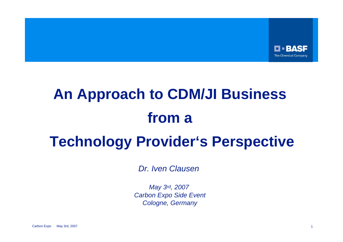

# **An Approach to CDM/JI Business from a Technology Provider's Perspective**

*Dr. Iven Clausen* 

*May 3rd, 2007 Carbon Expo Side Event Cologne, Germany*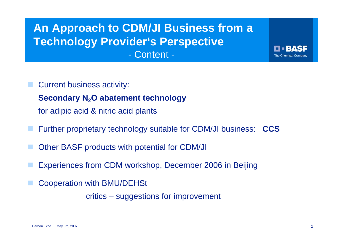#### **An Approach to CDM/JI Business from a Technology Provider's Perspective** - Content -

Current business activity:

**Secondary N<sub>2</sub>O abatement technology** 

for adipic acid & nitric acid plants

- Further proprietary technology suitable for CDM/JI business: **CCS**
- Other BASF products with potential for CDM/JI
- Experiences from CDM workshop, December 2006 in Beijing
- Cooperation with BMU/DEHSt

critics – suggestions for improvement

BAS-

**The Chemical Company** 

П :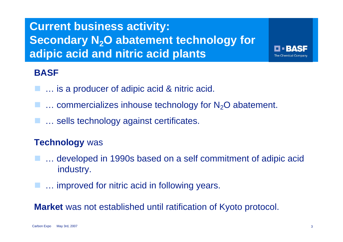## **Current business activity: Secondary N<sub>2</sub>O abatement technology for adipic acid and nitric acid plants**

#### **BASF**

- **E.** ... is a producer of adipic acid & nitric acid.
- $\blacksquare$  ... commercializes inhouse technology for  $\mathsf{N}_2\mathsf{O}$  abatement.
- **E.** ... sells technology against certificates.

#### **Technology** was

- ... developed in 1990s based on a self commitment of adipic acid industry.
- **E.** ... improved for nitric acid in following years.

**Market** was not established until ratification of Kyoto protocol.

**RASE** 

**The Chemical Company**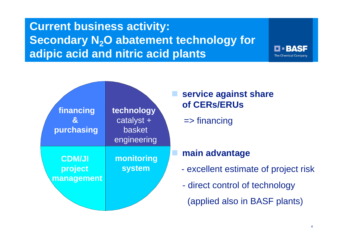## **Current business activity: Secondary N<sub>2</sub>O abatement technology for adipic acid and nitric acid plants**



**LI BASE The Chemical Company**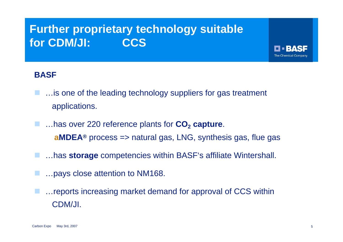## **Further proprietary technology suitable for CDM/JI: CCS**

#### **BASF**

- …is one of the leading technology suppliers for gas treatment applications.
- ...has over 220 reference plants for **CO<sub>2</sub> capture**. **aMDEA®** process => natural gas, LNG, synthesis gas, flue gas
- …has **storage** competencies within BASF's affiliate Wintershall.
- …pays close attention to NM168.
- …reports increasing market demand for approval of CCS within CDM/JI.

HERASE **The Chemical Company**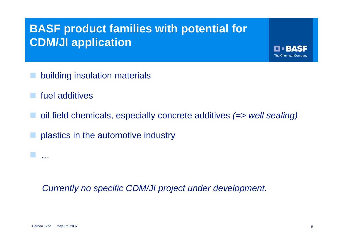## **BASF product families with potential for CDM/JI application**

- building insulation materials
- fuel additives
- oil field chemicals, especially concrete additives *(=> well sealing)*
- plastics in the automotive industry

*Currently no specific CDM/JI project under development.*

…

FFRASE **The Chemical Company**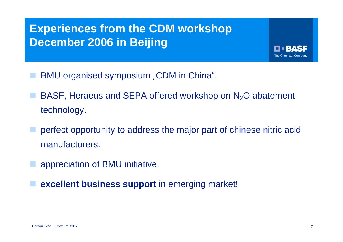## **Experiences from the CDM workshop December 2006 in Beijing**

- BMU organised symposium "CDM in China".
- BASF, Heraeus and SEPA offered workshop on  $N<sub>2</sub>O$  abatement technology.
- perfect opportunity to address the major part of chinese nitric acid manufacturers.
	- appreciation of BMU initiative.
	- **excellent business support** in emerging market!

H RASE **The Chemical Company**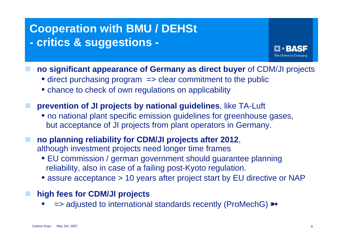#### **Cooperation with BMU / DEHSt - critics & suggestions -**



- **no significant appearance of Germany as direct buyer** of CDM/JI projects
	- direct purchasing program => clear commitment to the public
	- chance to check of own regulations on applicability
- **prevention of JI projects by national guidelines**, like TA-Luft
	- no national plant specific emission guidelines for greenhouse gases, but acceptance of JI projects from plant operators in Germany.
- **no planning reliability for CDM/JI projects after 2012**, although investment projects need longer time frames
	- EU commission / german government should guarantee planning reliability, also in case of a failing post-Kyoto regulation.
	- assure acceptance > 10 years after project start by EU directive or NAP
- **high fees for CDM/JI projects**
	- •=> adjusted to international standards recently (ProMechG)